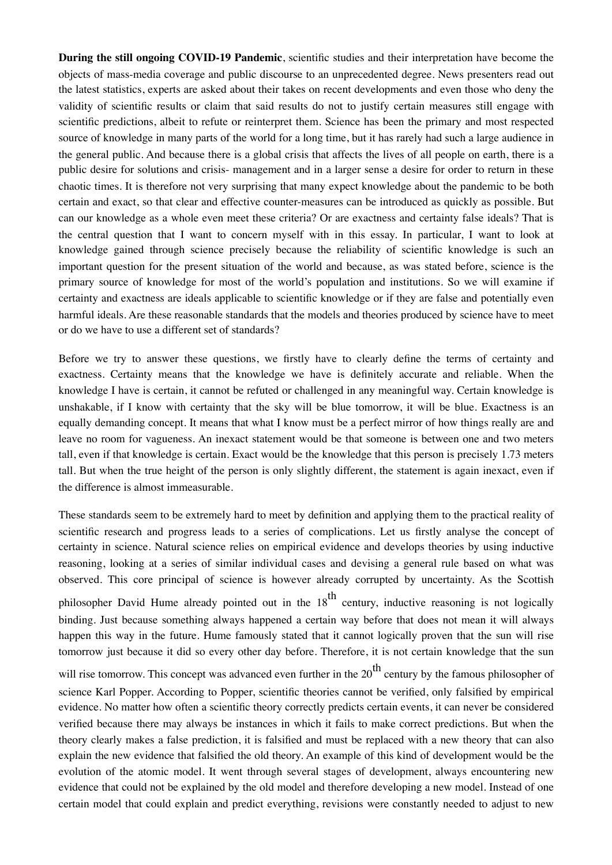**During the still ongoing COVID-19 Pandemic**, scientific studies and their interpretation have become the objects of mass-media coverage and public discourse to an unprecedented degree. News presenters read out the latest statistics, experts are asked about their takes on recent developments and even those who deny the validity of scientific results or claim that said results do not to justify certain measures still engage with scientific predictions, albeit to refute or reinterpret them. Science has been the primary and most respected source of knowledge in many parts of the world for a long time, but it has rarely had such a large audience in the general public. And because there is a global crisis that affects the lives of all people on earth, there is a public desire for solutions and crisis- management and in a larger sense a desire for order to return in these chaotic times. It is therefore not very surprising that many expect knowledge about the pandemic to be both certain and exact, so that clear and effective counter-measures can be introduced as quickly as possible. But can our knowledge as a whole even meet these criteria? Or are exactness and certainty false ideals? That is the central question that I want to concern myself with in this essay. In particular, I want to look at knowledge gained through science precisely because the reliability of scientific knowledge is such an important question for the present situation of the world and because, as was stated before, science is the primary source of knowledge for most of the world's population and institutions. So we will examine if certainty and exactness are ideals applicable to scientific knowledge or if they are false and potentially even harmful ideals. Are these reasonable standards that the models and theories produced by science have to meet or do we have to use a different set of standards?

Before we try to answer these questions, we firstly have to clearly define the terms of certainty and exactness. Certainty means that the knowledge we have is definitely accurate and reliable. When the knowledge I have is certain, it cannot be refuted or challenged in any meaningful way. Certain knowledge is unshakable, if I know with certainty that the sky will be blue tomorrow, it will be blue. Exactness is an equally demanding concept. It means that what I know must be a perfect mirror of how things really are and leave no room for vagueness. An inexact statement would be that someone is between one and two meters tall, even if that knowledge is certain. Exact would be the knowledge that this person is precisely 1.73 meters tall. But when the true height of the person is only slightly different, the statement is again inexact, even if the difference is almost immeasurable.

These standards seem to be extremely hard to meet by definition and applying them to the practical reality of scientific research and progress leads to a series of complications. Let us firstly analyse the concept of certainty in science. Natural science relies on empirical evidence and develops theories by using inductive reasoning, looking at a series of similar individual cases and devising a general rule based on what was observed. This core principal of science is however already corrupted by uncertainty. As the Scottish philosopher David Hume already pointed out in the  $18<sup>th</sup>$  century, inductive reasoning is not logically binding. Just because something always happened a certain way before that does not mean it will always happen this way in the future. Hume famously stated that it cannot logically proven that the sun will rise tomorrow just because it did so every other day before. Therefore, it is not certain knowledge that the sun will rise tomorrow. This concept was advanced even further in the  $20<sup>th</sup>$  century by the famous philosopher of science Karl Popper. According to Popper, scientific theories cannot be verified, only falsified by empirical evidence. No matter how often a scientific theory correctly predicts certain events, it can never be considered verified because there may always be instances in which it fails to make correct predictions. But when the theory clearly makes a false prediction, it is falsified and must be replaced with a new theory that can also explain the new evidence that falsified the old theory. An example of this kind of development would be the evolution of the atomic model. It went through several stages of development, always encountering new evidence that could not be explained by the old model and therefore developing a new model. Instead of one certain model that could explain and predict everything, revisions were constantly needed to adjust to new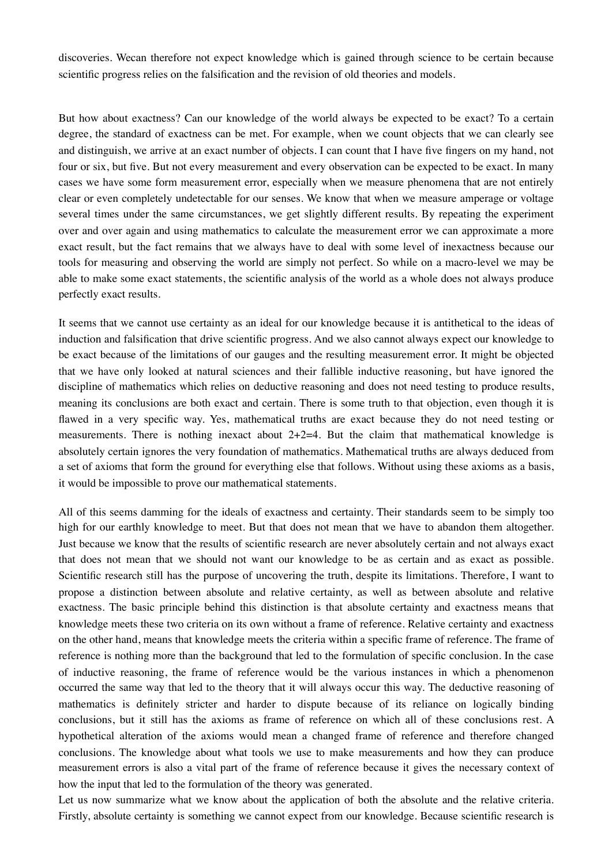discoveries. Wecan therefore not expect knowledge which is gained through science to be certain because scientific progress relies on the falsification and the revision of old theories and models.

But how about exactness? Can our knowledge of the world always be expected to be exact? To a certain degree, the standard of exactness can be met. For example, when we count objects that we can clearly see and distinguish, we arrive at an exact number of objects. I can count that I have five fingers on my hand, not four or six, but five. But not every measurement and every observation can be expected to be exact. In many cases we have some form measurement error, especially when we measure phenomena that are not entirely clear or even completely undetectable for our senses. We know that when we measure amperage or voltage several times under the same circumstances, we get slightly different results. By repeating the experiment over and over again and using mathematics to calculate the measurement error we can approximate a more exact result, but the fact remains that we always have to deal with some level of inexactness because our tools for measuring and observing the world are simply not perfect. So while on a macro-level we may be able to make some exact statements, the scientific analysis of the world as a whole does not always produce perfectly exact results.

It seems that we cannot use certainty as an ideal for our knowledge because it is antithetical to the ideas of induction and falsification that drive scientific progress. And we also cannot always expect our knowledge to be exact because of the limitations of our gauges and the resulting measurement error. It might be objected that we have only looked at natural sciences and their fallible inductive reasoning, but have ignored the discipline of mathematics which relies on deductive reasoning and does not need testing to produce results, meaning its conclusions are both exact and certain. There is some truth to that objection, even though it is flawed in a very specific way. Yes, mathematical truths are exact because they do not need testing or measurements. There is nothing inexact about  $2+2=4$ . But the claim that mathematical knowledge is absolutely certain ignores the very foundation of mathematics. Mathematical truths are always deduced from a set of axioms that form the ground for everything else that follows. Without using these axioms as a basis, it would be impossible to prove our mathematical statements.

All of this seems damming for the ideals of exactness and certainty. Their standards seem to be simply too high for our earthly knowledge to meet. But that does not mean that we have to abandon them altogether. Just because we know that the results of scientific research are never absolutely certain and not always exact that does not mean that we should not want our knowledge to be as certain and as exact as possible. Scientific research still has the purpose of uncovering the truth, despite its limitations. Therefore, I want to propose a distinction between absolute and relative certainty, as well as between absolute and relative exactness. The basic principle behind this distinction is that absolute certainty and exactness means that knowledge meets these two criteria on its own without a frame of reference. Relative certainty and exactness on the other hand, means that knowledge meets the criteria within a specific frame of reference. The frame of reference is nothing more than the background that led to the formulation of specific conclusion. In the case of inductive reasoning, the frame of reference would be the various instances in which a phenomenon occurred the same way that led to the theory that it will always occur this way. The deductive reasoning of mathematics is definitely stricter and harder to dispute because of its reliance on logically binding conclusions, but it still has the axioms as frame of reference on which all of these conclusions rest. A hypothetical alteration of the axioms would mean a changed frame of reference and therefore changed conclusions. The knowledge about what tools we use to make measurements and how they can produce measurement errors is also a vital part of the frame of reference because it gives the necessary context of how the input that led to the formulation of the theory was generated.

Let us now summarize what we know about the application of both the absolute and the relative criteria. Firstly, absolute certainty is something we cannot expect from our knowledge. Because scientific research is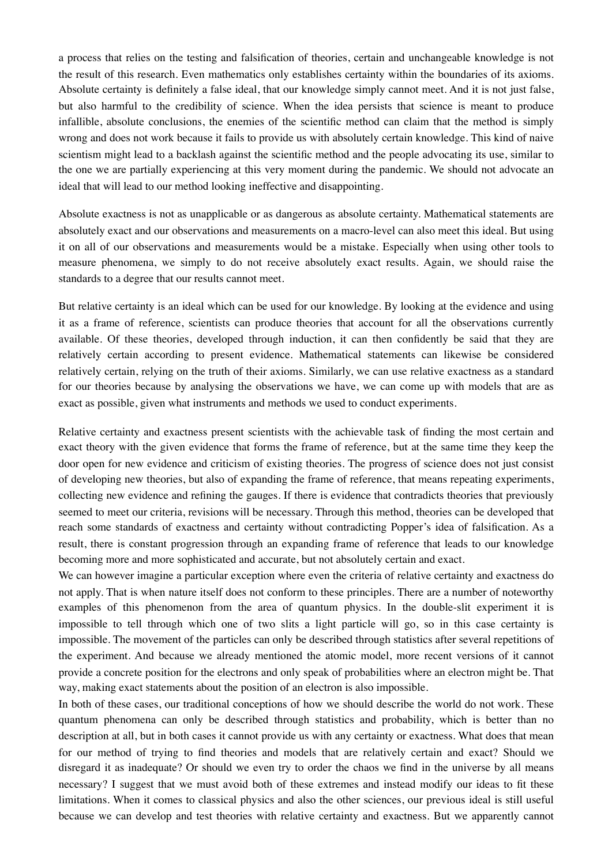a process that relies on the testing and falsification of theories, certain and unchangeable knowledge is not the result of this research. Even mathematics only establishes certainty within the boundaries of its axioms. Absolute certainty is definitely a false ideal, that our knowledge simply cannot meet. And it is not just false, but also harmful to the credibility of science. When the idea persists that science is meant to produce infallible, absolute conclusions, the enemies of the scientific method can claim that the method is simply wrong and does not work because it fails to provide us with absolutely certain knowledge. This kind of naive scientism might lead to a backlash against the scientific method and the people advocating its use, similar to the one we are partially experiencing at this very moment during the pandemic. We should not advocate an ideal that will lead to our method looking ineffective and disappointing.

Absolute exactness is not as unapplicable or as dangerous as absolute certainty. Mathematical statements are absolutely exact and our observations and measurements on a macro-level can also meet this ideal. But using it on all of our observations and measurements would be a mistake. Especially when using other tools to measure phenomena, we simply to do not receive absolutely exact results. Again, we should raise the standards to a degree that our results cannot meet.

But relative certainty is an ideal which can be used for our knowledge. By looking at the evidence and using it as a frame of reference, scientists can produce theories that account for all the observations currently available. Of these theories, developed through induction, it can then confidently be said that they are relatively certain according to present evidence. Mathematical statements can likewise be considered relatively certain, relying on the truth of their axioms. Similarly, we can use relative exactness as a standard for our theories because by analysing the observations we have, we can come up with models that are as exact as possible, given what instruments and methods we used to conduct experiments.

Relative certainty and exactness present scientists with the achievable task of finding the most certain and exact theory with the given evidence that forms the frame of reference, but at the same time they keep the door open for new evidence and criticism of existing theories. The progress of science does not just consist of developing new theories, but also of expanding the frame of reference, that means repeating experiments, collecting new evidence and refining the gauges. If there is evidence that contradicts theories that previously seemed to meet our criteria, revisions will be necessary. Through this method, theories can be developed that reach some standards of exactness and certainty without contradicting Popper's idea of falsification. As a result, there is constant progression through an expanding frame of reference that leads to our knowledge becoming more and more sophisticated and accurate, but not absolutely certain and exact.

We can however imagine a particular exception where even the criteria of relative certainty and exactness do not apply. That is when nature itself does not conform to these principles. There are a number of noteworthy examples of this phenomenon from the area of quantum physics. In the double-slit experiment it is impossible to tell through which one of two slits a light particle will go, so in this case certainty is impossible. The movement of the particles can only be described through statistics after several repetitions of the experiment. And because we already mentioned the atomic model, more recent versions of it cannot provide a concrete position for the electrons and only speak of probabilities where an electron might be. That way, making exact statements about the position of an electron is also impossible.

In both of these cases, our traditional conceptions of how we should describe the world do not work. These quantum phenomena can only be described through statistics and probability, which is better than no description at all, but in both cases it cannot provide us with any certainty or exactness. What does that mean for our method of trying to find theories and models that are relatively certain and exact? Should we disregard it as inadequate? Or should we even try to order the chaos we find in the universe by all means necessary? I suggest that we must avoid both of these extremes and instead modify our ideas to fit these limitations. When it comes to classical physics and also the other sciences, our previous ideal is still useful because we can develop and test theories with relative certainty and exactness. But we apparently cannot